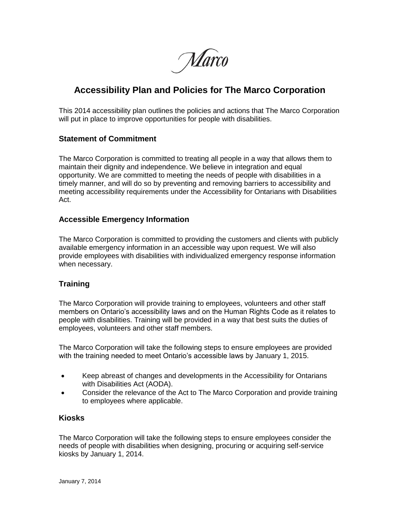Marco

# **Accessibility Plan and Policies for The Marco Corporation**

This 2014 accessibility plan outlines the policies and actions that The Marco Corporation will put in place to improve opportunities for people with disabilities.

## **Statement of Commitment**

The Marco Corporation is committed to treating all people in a way that allows them to maintain their dignity and independence. We believe in integration and equal opportunity. We are committed to meeting the needs of people with disabilities in a timely manner, and will do so by preventing and removing barriers to accessibility and meeting accessibility requirements under the Accessibility for Ontarians with Disabilities Act.

#### **Accessible Emergency Information**

The Marco Corporation is committed to providing the customers and clients with publicly available emergency information in an accessible way upon request. We will also provide employees with disabilities with individualized emergency response information when necessary.

# **Training**

The Marco Corporation will provide training to employees, volunteers and other staff members on Ontario's accessibility laws and on the Human Rights Code as it relates to people with disabilities. Training will be provided in a way that best suits the duties of employees, volunteers and other staff members.

The Marco Corporation will take the following steps to ensure employees are provided with the training needed to meet Ontario's accessible laws by January 1, 2015.

- Keep abreast of changes and developments in the Accessibility for Ontarians with Disabilities Act (AODA).
- Consider the relevance of the Act to The Marco Corporation and provide training to employees where applicable.

#### **Kiosks**

The Marco Corporation will take the following steps to ensure employees consider the needs of people with disabilities when designing, procuring or acquiring self-service kiosks by January 1, 2014.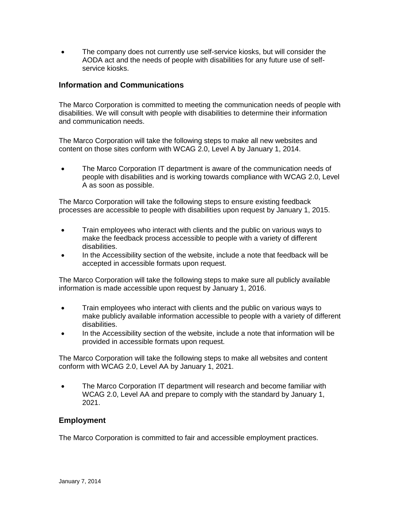The company does not currently use self-service kiosks, but will consider the AODA act and the needs of people with disabilities for any future use of selfservice kiosks.

## **Information and Communications**

The Marco Corporation is committed to meeting the communication needs of people with disabilities. We will consult with people with disabilities to determine their information and communication needs.

The Marco Corporation will take the following steps to make all new websites and content on those sites conform with WCAG 2.0, Level A by January 1, 2014.

 The Marco Corporation IT department is aware of the communication needs of people with disabilities and is working towards compliance with WCAG 2.0, Level A as soon as possible.

The Marco Corporation will take the following steps to ensure existing feedback processes are accessible to people with disabilities upon request by January 1, 2015.

- Train employees who interact with clients and the public on various ways to make the feedback process accessible to people with a variety of different disabilities.
- In the Accessibility section of the website, include a note that feedback will be accepted in accessible formats upon request.

The Marco Corporation will take the following steps to make sure all publicly available information is made accessible upon request by January 1, 2016.

- Train employees who interact with clients and the public on various ways to make publicly available information accessible to people with a variety of different disabilities.
- In the Accessibility section of the website, include a note that information will be provided in accessible formats upon request.

The Marco Corporation will take the following steps to make all websites and content conform with WCAG 2.0, Level AA by January 1, 2021.

• The Marco Corporation IT department will research and become familiar with WCAG 2.0, Level AA and prepare to comply with the standard by January 1, 2021.

# **Employment**

The Marco Corporation is committed to fair and accessible employment practices.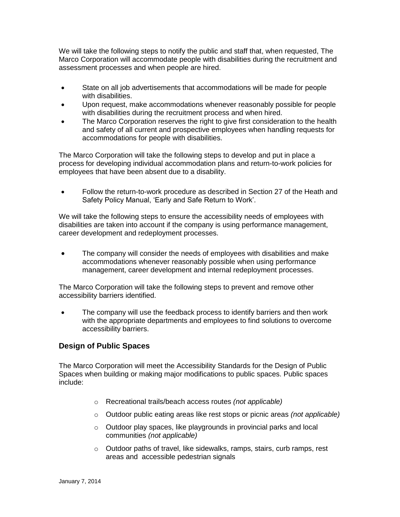We will take the following steps to notify the public and staff that, when requested, The Marco Corporation will accommodate people with disabilities during the recruitment and assessment processes and when people are hired.

- State on all job advertisements that accommodations will be made for people with disabilities.
- Upon request, make accommodations whenever reasonably possible for people with disabilities during the recruitment process and when hired.
- The Marco Corporation reserves the right to give first consideration to the health and safety of all current and prospective employees when handling requests for accommodations for people with disabilities.

The Marco Corporation will take the following steps to develop and put in place a process for developing individual accommodation plans and return-to-work policies for employees that have been absent due to a disability.

• Follow the return-to-work procedure as described in Section 27 of the Heath and Safety Policy Manual, 'Early and Safe Return to Work'.

We will take the following steps to ensure the accessibility needs of employees with disabilities are taken into account if the company is using performance management, career development and redeployment processes.

 The company will consider the needs of employees with disabilities and make accommodations whenever reasonably possible when using performance management, career development and internal redeployment processes.

The Marco Corporation will take the following steps to prevent and remove other accessibility barriers identified.

• The company will use the feedback process to identify barriers and then work with the appropriate departments and employees to find solutions to overcome accessibility barriers.

# **Design of Public Spaces**

The Marco Corporation will meet the Accessibility Standards for the Design of Public Spaces when building or making major modifications to public spaces. Public spaces include:

- o Recreational trails/beach access routes *(not applicable)*
- o Outdoor public eating areas like rest stops or picnic areas *(not applicable)*
- o Outdoor play spaces, like playgrounds in provincial parks and local communities *(not applicable)*
- o Outdoor paths of travel, like sidewalks, ramps, stairs, curb ramps, rest areas and accessible pedestrian signals